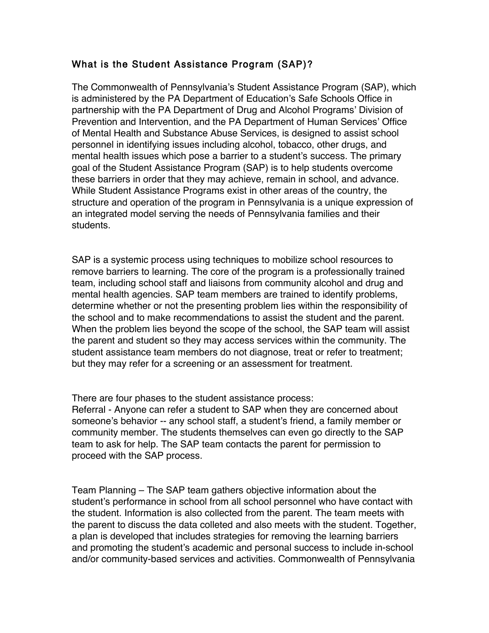## What is the Student Assistance Program (SAP)?

The Commonwealth of Pennsylvania's Student Assistance Program (SAP), which is administered by the PA Department of Education's Safe Schools Office in partnership with the PA Department of Drug and Alcohol Programs' Division of Prevention and Intervention, and the PA Department of Human Services' Office of Mental Health and Substance Abuse Services, is designed to assist school personnel in identifying issues including alcohol, tobacco, other drugs, and mental health issues which pose a barrier to a student's success. The primary goal of the Student Assistance Program (SAP) is to help students overcome these barriers in order that they may achieve, remain in school, and advance. While Student Assistance Programs exist in other areas of the country, the structure and operation of the program in Pennsylvania is a unique expression of an integrated model serving the needs of Pennsylvania families and their students.

SAP is a systemic process using techniques to mobilize school resources to remove barriers to learning. The core of the program is a professionally trained team, including school staff and liaisons from community alcohol and drug and mental health agencies. SAP team members are trained to identify problems, determine whether or not the presenting problem lies within the responsibility of the school and to make recommendations to assist the student and the parent. When the problem lies beyond the scope of the school, the SAP team will assist the parent and student so they may access services within the community. The student assistance team members do not diagnose, treat or refer to treatment; but they may refer for a screening or an assessment for treatment.

There are four phases to the student assistance process:

Referral - Anyone can refer a student to SAP when they are concerned about someone's behavior -- any school staff, a student's friend, a family member or community member. The students themselves can even go directly to the SAP team to ask for help. The SAP team contacts the parent for permission to proceed with the SAP process.

Team Planning – The SAP team gathers objective information about the student's performance in school from all school personnel who have contact with the student. Information is also collected from the parent. The team meets with the parent to discuss the data colleted and also meets with the student. Together, a plan is developed that includes strategies for removing the learning barriers and promoting the student's academic and personal success to include in-school and/or community-based services and activities. Commonwealth of Pennsylvania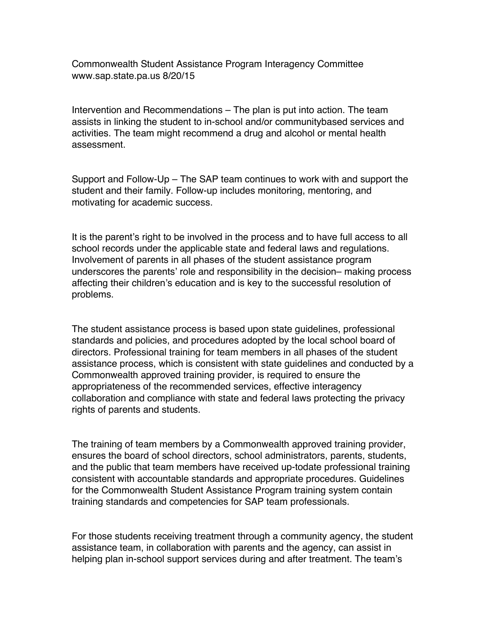Commonwealth Student Assistance Program Interagency Committee www.sap.state.pa.us 8/20/15

Intervention and Recommendations – The plan is put into action. The team assists in linking the student to in-school and/or communitybased services and activities. The team might recommend a drug and alcohol or mental health assessment.

Support and Follow-Up – The SAP team continues to work with and support the student and their family. Follow-up includes monitoring, mentoring, and motivating for academic success.

It is the parent's right to be involved in the process and to have full access to all school records under the applicable state and federal laws and regulations. Involvement of parents in all phases of the student assistance program underscores the parents' role and responsibility in the decision– making process affecting their children's education and is key to the successful resolution of problems.

The student assistance process is based upon state guidelines, professional standards and policies, and procedures adopted by the local school board of directors. Professional training for team members in all phases of the student assistance process, which is consistent with state guidelines and conducted by a Commonwealth approved training provider, is required to ensure the appropriateness of the recommended services, effective interagency collaboration and compliance with state and federal laws protecting the privacy rights of parents and students.

The training of team members by a Commonwealth approved training provider, ensures the board of school directors, school administrators, parents, students, and the public that team members have received up-todate professional training consistent with accountable standards and appropriate procedures. Guidelines for the Commonwealth Student Assistance Program training system contain training standards and competencies for SAP team professionals.

For those students receiving treatment through a community agency, the student assistance team, in collaboration with parents and the agency, can assist in helping plan in-school support services during and after treatment. The team's